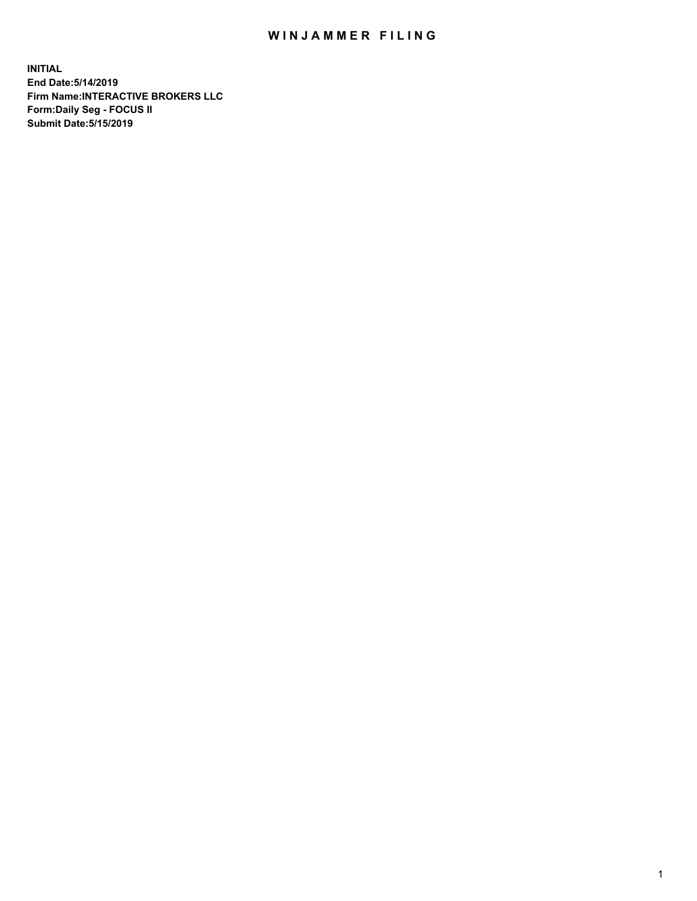## WIN JAMMER FILING

**INITIAL End Date:5/14/2019 Firm Name:INTERACTIVE BROKERS LLC Form:Daily Seg - FOCUS II Submit Date:5/15/2019**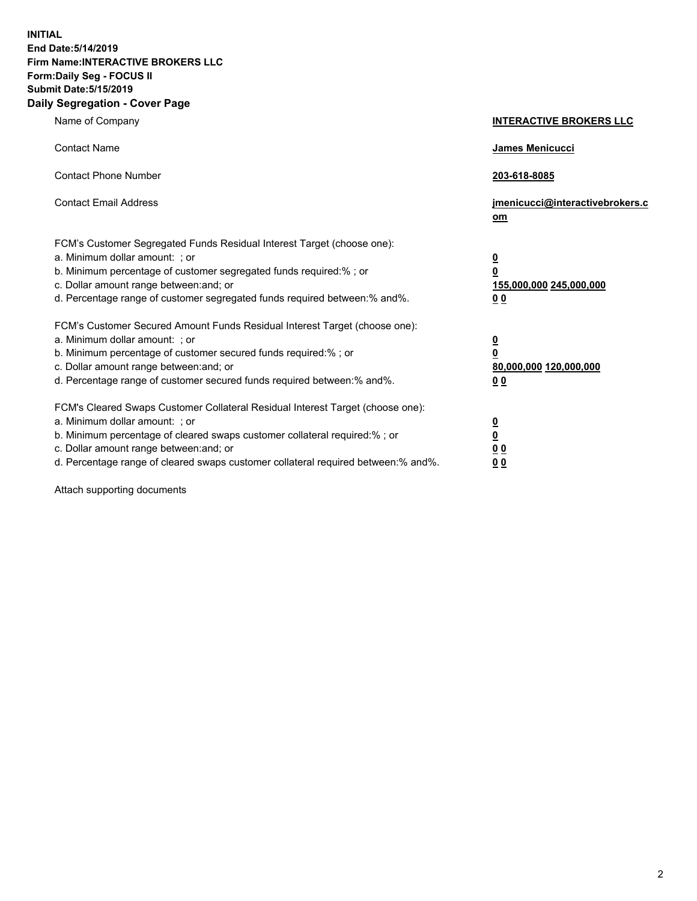**INITIAL End Date:5/14/2019 Firm Name:INTERACTIVE BROKERS LLC Form:Daily Seg - FOCUS II Submit Date:5/15/2019 Daily Segregation - Cover Page**

| Name of Company                                                                                                                                                                                                                                                                                                                | <b>INTERACTIVE BROKERS LLC</b>                                                                  |
|--------------------------------------------------------------------------------------------------------------------------------------------------------------------------------------------------------------------------------------------------------------------------------------------------------------------------------|-------------------------------------------------------------------------------------------------|
| <b>Contact Name</b>                                                                                                                                                                                                                                                                                                            | James Menicucci                                                                                 |
| <b>Contact Phone Number</b>                                                                                                                                                                                                                                                                                                    | 203-618-8085                                                                                    |
| <b>Contact Email Address</b>                                                                                                                                                                                                                                                                                                   | jmenicucci@interactivebrokers.c<br>om                                                           |
| FCM's Customer Segregated Funds Residual Interest Target (choose one):<br>a. Minimum dollar amount: ; or<br>b. Minimum percentage of customer segregated funds required:% ; or<br>c. Dollar amount range between: and; or<br>d. Percentage range of customer segregated funds required between:% and%.                         | $\overline{\mathbf{0}}$<br>$\overline{\mathbf{0}}$<br>155,000,000 245,000,000<br>0 <sub>0</sub> |
| FCM's Customer Secured Amount Funds Residual Interest Target (choose one):<br>a. Minimum dollar amount: ; or<br>b. Minimum percentage of customer secured funds required:% ; or<br>c. Dollar amount range between: and; or<br>d. Percentage range of customer secured funds required between:% and%.                           | $\overline{\mathbf{0}}$<br>0<br>80,000,000 120,000,000<br>0 <sub>0</sub>                        |
| FCM's Cleared Swaps Customer Collateral Residual Interest Target (choose one):<br>a. Minimum dollar amount: ; or<br>b. Minimum percentage of cleared swaps customer collateral required:% ; or<br>c. Dollar amount range between: and; or<br>d. Percentage range of cleared swaps customer collateral required between:% and%. | $\overline{\mathbf{0}}$<br><u>0</u><br>$\underline{0}$ $\underline{0}$<br>00                    |

Attach supporting documents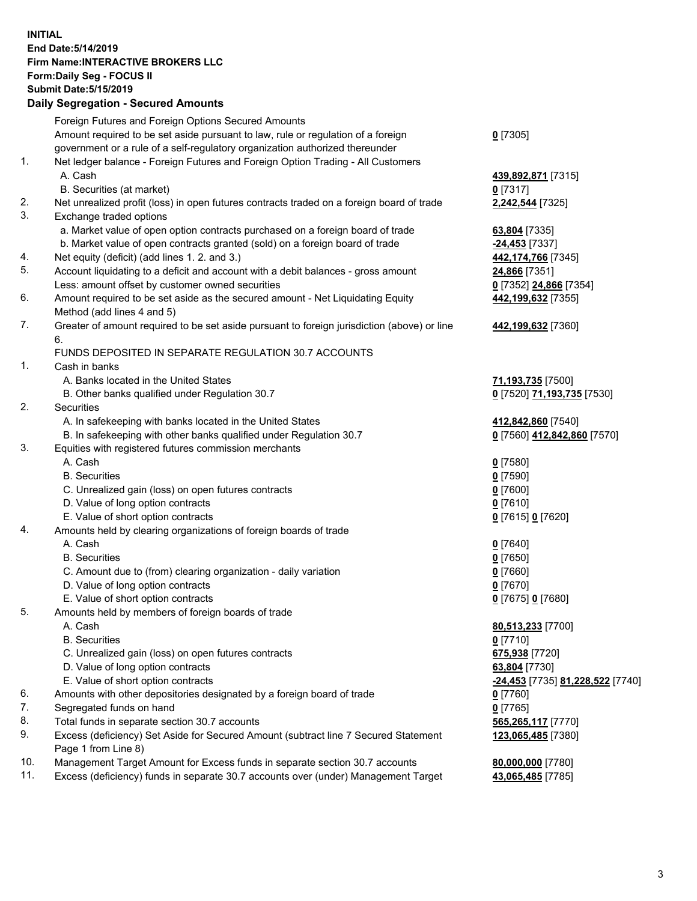## **INITIAL End Date:5/14/2019 Firm Name:INTERACTIVE BROKERS LLC Form:Daily Seg - FOCUS II Submit Date:5/15/2019 Daily Segregation - Secured Amounts**

|                | Daily Segregation - Secured Amounts                                                                                           |                                                |
|----------------|-------------------------------------------------------------------------------------------------------------------------------|------------------------------------------------|
|                | Foreign Futures and Foreign Options Secured Amounts                                                                           |                                                |
|                | Amount required to be set aside pursuant to law, rule or regulation of a foreign                                              | $0$ [7305]                                     |
|                | government or a rule of a self-regulatory organization authorized thereunder                                                  |                                                |
| $\mathbf{1}$ . | Net ledger balance - Foreign Futures and Foreign Option Trading - All Customers                                               |                                                |
|                | A. Cash                                                                                                                       | 439,892,871 [7315]                             |
|                | B. Securities (at market)                                                                                                     | $0$ [7317]                                     |
| 2.             | Net unrealized profit (loss) in open futures contracts traded on a foreign board of trade                                     | 2,242,544 [7325]                               |
| 3.             | Exchange traded options                                                                                                       |                                                |
|                | a. Market value of open option contracts purchased on a foreign board of trade                                                | 63,804 [7335]                                  |
| 4.             | b. Market value of open contracts granted (sold) on a foreign board of trade<br>Net equity (deficit) (add lines 1. 2. and 3.) | -24,453 [7337]<br>442,174,766 [7345]           |
| 5.             | Account liquidating to a deficit and account with a debit balances - gross amount                                             | 24,866 [7351]                                  |
|                | Less: amount offset by customer owned securities                                                                              | 0 [7352] 24,866 [7354]                         |
| 6.             | Amount required to be set aside as the secured amount - Net Liquidating Equity                                                | 442,199,632 [7355]                             |
|                | Method (add lines 4 and 5)                                                                                                    |                                                |
| 7.             | Greater of amount required to be set aside pursuant to foreign jurisdiction (above) or line                                   | 442,199,632 [7360]                             |
|                | 6.                                                                                                                            |                                                |
|                | FUNDS DEPOSITED IN SEPARATE REGULATION 30.7 ACCOUNTS                                                                          |                                                |
| 1.             | Cash in banks                                                                                                                 |                                                |
|                | A. Banks located in the United States                                                                                         | 71,193,735 [7500]                              |
|                | B. Other banks qualified under Regulation 30.7                                                                                | 0 [7520] 71,193,735 [7530]                     |
| 2.             | <b>Securities</b>                                                                                                             |                                                |
|                | A. In safekeeping with banks located in the United States                                                                     | 412,842,860 [7540]                             |
|                | B. In safekeeping with other banks qualified under Regulation 30.7                                                            | 0 [7560] 412,842,860 [7570]                    |
| 3.             | Equities with registered futures commission merchants                                                                         |                                                |
|                | A. Cash                                                                                                                       | $0$ [7580]                                     |
|                | <b>B.</b> Securities                                                                                                          | $0$ [7590]                                     |
|                | C. Unrealized gain (loss) on open futures contracts                                                                           | $0$ [7600]                                     |
|                | D. Value of long option contracts                                                                                             | $0$ [7610]                                     |
|                | E. Value of short option contracts                                                                                            | 0 [7615] 0 [7620]                              |
| 4.             | Amounts held by clearing organizations of foreign boards of trade                                                             |                                                |
|                | A. Cash                                                                                                                       | $0$ [7640]                                     |
|                | <b>B.</b> Securities                                                                                                          | $0$ [7650]                                     |
|                | C. Amount due to (from) clearing organization - daily variation                                                               | $0$ [7660]                                     |
|                | D. Value of long option contracts<br>E. Value of short option contracts                                                       | $0$ [7670]<br>0 [7675] 0 [7680]                |
| 5.             | Amounts held by members of foreign boards of trade                                                                            |                                                |
|                | A. Cash                                                                                                                       | 80,513,233 [7700]                              |
|                | <b>B.</b> Securities                                                                                                          | $0$ [7710]                                     |
|                | C. Unrealized gain (loss) on open futures contracts                                                                           | 675,938 [7720]                                 |
|                | D. Value of long option contracts                                                                                             | 63,804 [7730]                                  |
|                | E. Value of short option contracts                                                                                            | <u>-24,453</u> [7735] <u>81,228,522</u> [7740] |
| 6.             | Amounts with other depositories designated by a foreign board of trade                                                        | 0 [7760]                                       |
| 7.             | Segregated funds on hand                                                                                                      | $0$ [7765]                                     |
| 8.             | Total funds in separate section 30.7 accounts                                                                                 | 565,265,117 [7770]                             |
| 9.             | Excess (deficiency) Set Aside for Secured Amount (subtract line 7 Secured Statement                                           | 123,065,485 [7380]                             |
|                | Page 1 from Line 8)                                                                                                           |                                                |
| 10.            | Management Target Amount for Excess funds in separate section 30.7 accounts                                                   | 80,000,000 [7780]                              |
| 11.            | Excess (deficiency) funds in separate 30.7 accounts over (under) Management Target                                            | 43,065,485 [7785]                              |
|                |                                                                                                                               |                                                |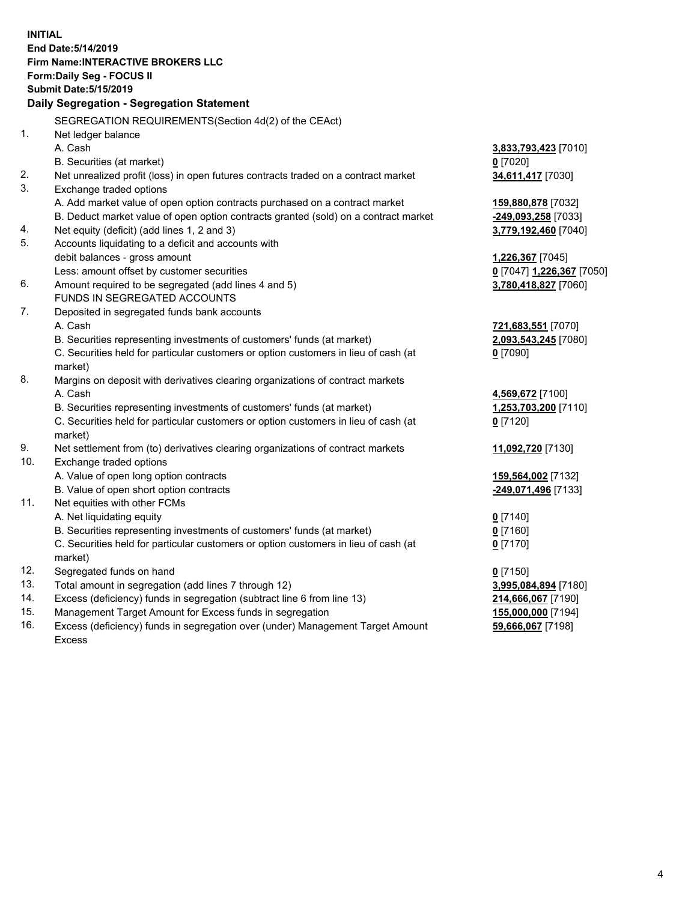**INITIAL End Date:5/14/2019 Firm Name:INTERACTIVE BROKERS LLC Form:Daily Seg - FOCUS II Submit Date:5/15/2019 Daily Segregation - Segregation Statement** SEGREGATION REQUIREMENTS(Section 4d(2) of the CEAct) 1. Net ledger balance A. Cash **3,833,793,423** [7010] B. Securities (at market) **0** [7020] 2. Net unrealized profit (loss) in open futures contracts traded on a contract market **34,611,417** [7030] 3. Exchange traded options A. Add market value of open option contracts purchased on a contract market **159,880,878** [7032] B. Deduct market value of open option contracts granted (sold) on a contract market **-249,093,258** [7033] 4. Net equity (deficit) (add lines 1, 2 and 3) **3,779,192,460** [7040] 5. Accounts liquidating to a deficit and accounts with debit balances - gross amount **1,226,367** [7045] Less: amount offset by customer securities **0** [7047] **1,226,367** [7050] 6. Amount required to be segregated (add lines 4 and 5) **3,780,418,827** [7060] FUNDS IN SEGREGATED ACCOUNTS 7. Deposited in segregated funds bank accounts A. Cash **721,683,551** [7070] B. Securities representing investments of customers' funds (at market) **2,093,543,245** [7080] C. Securities held for particular customers or option customers in lieu of cash (at market) **0** [7090] 8. Margins on deposit with derivatives clearing organizations of contract markets A. Cash **4,569,672** [7100] B. Securities representing investments of customers' funds (at market) **1,253,703,200** [7110] C. Securities held for particular customers or option customers in lieu of cash (at market) **0** [7120] 9. Net settlement from (to) derivatives clearing organizations of contract markets **11,092,720** [7130] 10. Exchange traded options A. Value of open long option contracts **159,564,002** [7132] B. Value of open short option contracts **-249,071,496** [7133] 11. Net equities with other FCMs A. Net liquidating equity **0** [7140] B. Securities representing investments of customers' funds (at market) **0** [7160] C. Securities held for particular customers or option customers in lieu of cash (at market) **0** [7170] 12. Segregated funds on hand **0** [7150] 13. Total amount in segregation (add lines 7 through 12) **3,995,084,894** [7180] 14. Excess (deficiency) funds in segregation (subtract line 6 from line 13) **214,666,067** [7190] 15. Management Target Amount for Excess funds in segregation **155,000,000** [7194]

16. Excess (deficiency) funds in segregation over (under) Management Target Amount Excess

**59,666,067** [7198]